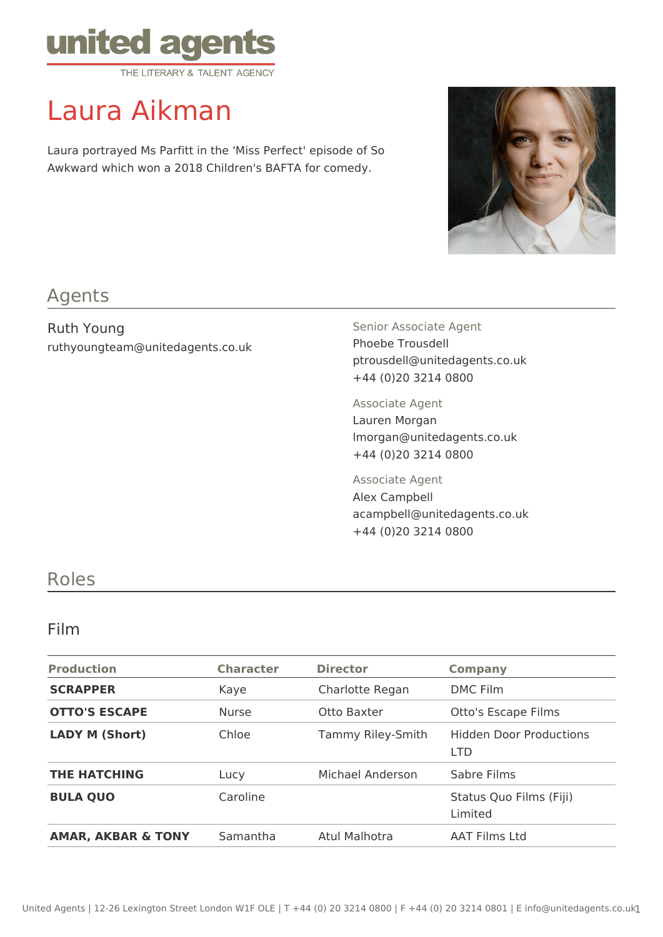

# Laura Aikman

Laura portrayed Ms Parfitt in the 'Miss Perfect' episode of So Awkward which won a 2018 Children's BAFTA for comedy.



## Agents

Ruth Young ruthyoungteam@unitedagents.co.uk Senior Associate Agent Phoebe Trousdell ptrousdell@unitedagents.co.uk +44 (0)20 3214 0800

Associate Agent Lauren Morgan lmorgan@unitedagents.co.uk +44 (0)20 3214 0800

Associate Agent Alex Campbell acampbell@unitedagents.co.uk +44 (0)20 3214 0800

### Roles

#### Film

| <b>Production</b>             | <b>Character</b> | <b>Director</b>   | <b>Company</b>                               |
|-------------------------------|------------------|-------------------|----------------------------------------------|
| <b>SCRAPPER</b>               | Kaye             | Charlotte Regan   | <b>DMC Film</b>                              |
| <b>OTTO'S ESCAPE</b>          | <b>Nurse</b>     | Otto Baxter       | Otto's Escape Films                          |
| <b>LADY M (Short)</b>         | Chloe            | Tammy Riley-Smith | <b>Hidden Door Productions</b><br><b>LTD</b> |
| <b>THE HATCHING</b>           | Lucy             | Michael Anderson  | Sabre Films                                  |
| <b>BULA QUO</b>               | Caroline         |                   | Status Quo Films (Fiji)<br>Limited           |
| <b>AMAR, AKBAR &amp; TONY</b> | Samantha         | Atul Malhotra     | <b>AAT Films Ltd</b>                         |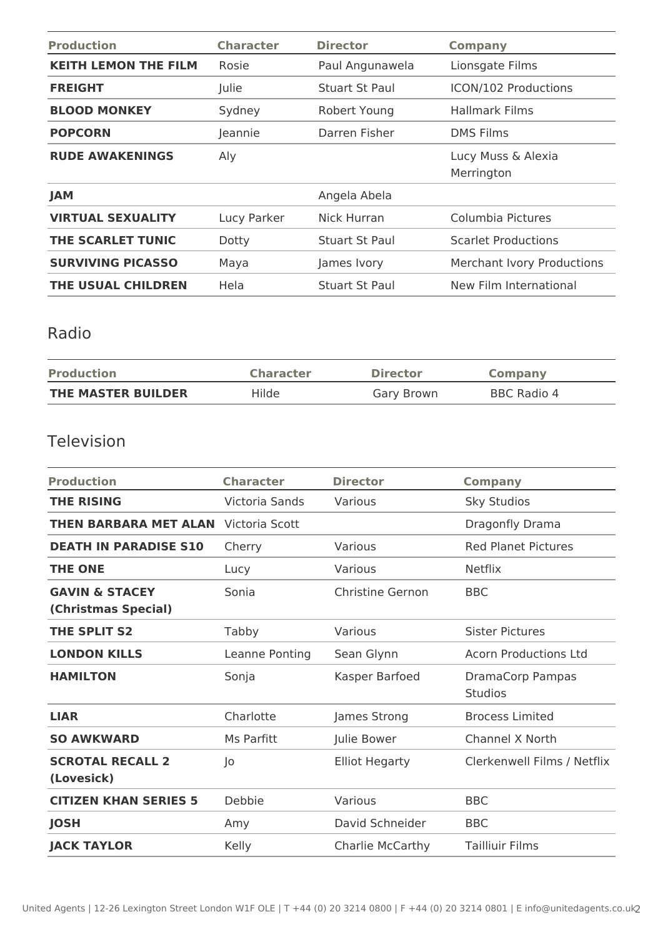| <b>Production</b>           | <b>Character</b> | <b>Director</b> | <b>Company</b>                    |
|-----------------------------|------------------|-----------------|-----------------------------------|
| <b>KEITH LEMON THE FILM</b> | Rosie            | Paul Angunawela | Lionsgate Films                   |
| <b>FREIGHT</b>              | Julie            | Stuart St Paul  | ICON/102 Productions              |
| <b>BLOOD MONKEY</b>         | Sydney           | Robert Young    | <b>Hallmark Films</b>             |
| <b>POPCORN</b>              | Jeannie          | Darren Fisher   | <b>DMS Films</b>                  |
| <b>RUDE AWAKENINGS</b>      | Aly              |                 | Lucy Muss & Alexia<br>Merrington  |
| <b>JAM</b>                  |                  | Angela Abela    |                                   |
| <b>VIRTUAL SEXUALITY</b>    | Lucy Parker      | Nick Hurran     | Columbia Pictures                 |
| THE SCARLET TUNIC           | Dotty            | Stuart St Paul  | <b>Scarlet Productions</b>        |
| <b>SURVIVING PICASSO</b>    | Maya             | James Ivory     | <b>Merchant Ivory Productions</b> |
| THE USUAL CHILDREN          | <b>Hela</b>      | Stuart St Paul  | New Film International            |

## Radio

| <b>Production</b>  | <b>Character</b> | <b>Director</b> | Company     |
|--------------------|------------------|-----------------|-------------|
| THE MASTER BUILDER | Hilde            | Gary Brown      | BBC Radio 4 |

## Television

| <b>Production</b>                                | <b>Character</b> | <b>Director</b>       | <b>Company</b>                     |
|--------------------------------------------------|------------------|-----------------------|------------------------------------|
| <b>THE RISING</b>                                | Victoria Sands   | Various               | <b>Sky Studios</b>                 |
| <b>THEN BARBARA MET ALAN</b>                     | Victoria Scott   |                       | Dragonfly Drama                    |
| <b>DEATH IN PARADISE S10</b>                     | Cherry           | Various               | <b>Red Planet Pictures</b>         |
| <b>THE ONE</b>                                   | Lucy             | Various               | <b>Netflix</b>                     |
| <b>GAVIN &amp; STACEY</b><br>(Christmas Special) | Sonia            | Christine Gernon      | <b>BBC</b>                         |
| THE SPLIT S2                                     | Tabby            | Various               | <b>Sister Pictures</b>             |
| <b>LONDON KILLS</b>                              | Leanne Ponting   | Sean Glynn            | <b>Acorn Productions Ltd</b>       |
| <b>HAMILTON</b>                                  | Sonja            | Kasper Barfoed        | DramaCorp Pampas<br><b>Studios</b> |
| <b>LIAR</b>                                      | Charlotte        | James Strong          | <b>Brocess Limited</b>             |
| <b>SO AWKWARD</b>                                | Ms Parfitt       | Julie Bower           | <b>Channel X North</b>             |
| <b>SCROTAL RECALL 2</b><br>(Lovesick)            | $ 0\rangle$      | <b>Elliot Hegarty</b> | Clerkenwell Films / Netflix        |
| <b>CITIZEN KHAN SERIES 5</b>                     | Debbie           | Various               | <b>BBC</b>                         |
| <b>JOSH</b>                                      | Amy              | David Schneider       | <b>BBC</b>                         |
| <b>JACK TAYLOR</b>                               | Kelly            | Charlie McCarthy      | <b>Tailliuir Films</b>             |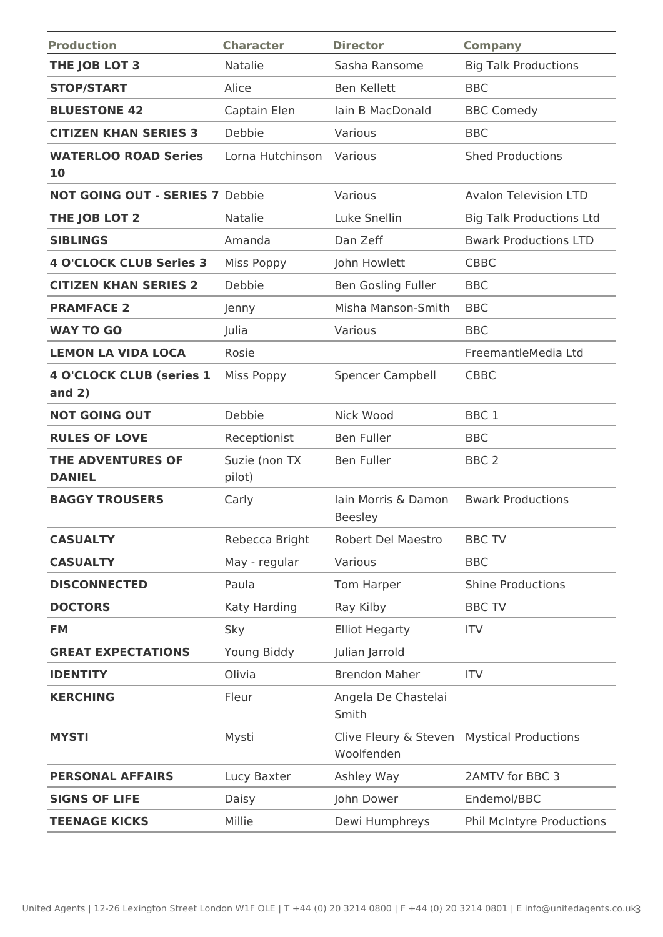| <b>Production</b>                           | <b>Character</b>        | <b>Director</b>                       | <b>Company</b>                  |
|---------------------------------------------|-------------------------|---------------------------------------|---------------------------------|
| THE JOB LOT 3                               | Natalie                 | Sasha Ransome                         | <b>Big Talk Productions</b>     |
| <b>STOP/START</b>                           | Alice                   | <b>Ben Kellett</b>                    | <b>BBC</b>                      |
| <b>BLUESTONE 42</b>                         | Captain Elen            | lain B MacDonald                      | <b>BBC Comedy</b>               |
| <b>CITIZEN KHAN SERIES 3</b>                | Debbie                  | Various                               | <b>BBC</b>                      |
| <b>WATERLOO ROAD Series</b><br><b>10</b>    | Lorna Hutchinson        | Various                               | <b>Shed Productions</b>         |
| <b>NOT GOING OUT - SERIES 7 Debbie</b>      |                         | Various                               | <b>Avalon Television LTD</b>    |
| THE JOB LOT 2                               | Natalie                 | Luke Snellin                          | <b>Big Talk Productions Ltd</b> |
| <b>SIBLINGS</b>                             | Amanda                  | Dan Zeff                              | <b>Bwark Productions LTD</b>    |
| <b>4 O'CLOCK CLUB Series 3</b>              | <b>Miss Poppy</b>       | John Howlett                          | <b>CBBC</b>                     |
| <b>CITIZEN KHAN SERIES 2</b>                | Debbie                  | <b>Ben Gosling Fuller</b>             | <b>BBC</b>                      |
| <b>PRAMFACE 2</b>                           | Jenny                   | Misha Manson-Smith                    | <b>BBC</b>                      |
| <b>WAY TO GO</b>                            | Julia                   | Various                               | <b>BBC</b>                      |
| <b>LEMON LA VIDA LOCA</b>                   | Rosie                   |                                       | FreemantleMedia Ltd             |
| <b>4 O'CLOCK CLUB (series 1</b><br>and $2)$ | <b>Miss Poppy</b>       | <b>Spencer Campbell</b>               | <b>CBBC</b>                     |
| <b>NOT GOING OUT</b>                        | Debbie                  | Nick Wood                             | BBC <sub>1</sub>                |
| <b>RULES OF LOVE</b>                        | Receptionist            | <b>Ben Fuller</b>                     | <b>BBC</b>                      |
| THE ADVENTURES OF<br><b>DANIEL</b>          | Suzie (non TX<br>pilot) | <b>Ben Fuller</b>                     | BBC <sub>2</sub>                |
| <b>BAGGY TROUSERS</b>                       | Carly                   | lain Morris & Damon<br><b>Beesley</b> | <b>Bwark Productions</b>        |
| <b>CASUALTY</b>                             | Rebecca Bright          | Robert Del Maestro                    | <b>BBC TV</b>                   |
| <b>CASUALTY</b>                             | May - regular           | Various                               | <b>BBC</b>                      |
| <b>DISCONNECTED</b>                         | Paula                   | Tom Harper                            | <b>Shine Productions</b>        |
| <b>DOCTORS</b>                              | Katy Harding            | Ray Kilby                             | <b>BBC TV</b>                   |
| <b>FM</b>                                   | Sky                     | <b>Elliot Hegarty</b>                 | <b>ITV</b>                      |
| <b>GREAT EXPECTATIONS</b>                   | Young Biddy             | Julian Jarrold                        |                                 |
| <b>IDENTITY</b>                             | Olivia                  | <b>Brendon Maher</b>                  | <b>ITV</b>                      |
| <b>KERCHING</b>                             | Fleur                   | Angela De Chastelai<br>Smith          |                                 |
| <b>MYSTI</b>                                | Mysti                   | Clive Fleury & Steven<br>Woolfenden   | <b>Mystical Productions</b>     |
| <b>PERSONAL AFFAIRS</b>                     | Lucy Baxter             | Ashley Way                            | 2AMTV for BBC 3                 |
| <b>SIGNS OF LIFE</b>                        | Daisy                   | John Dower                            | Endemol/BBC                     |
| <b>TEENAGE KICKS</b>                        | Millie                  | Dewi Humphreys                        | Phil McIntyre Productions       |